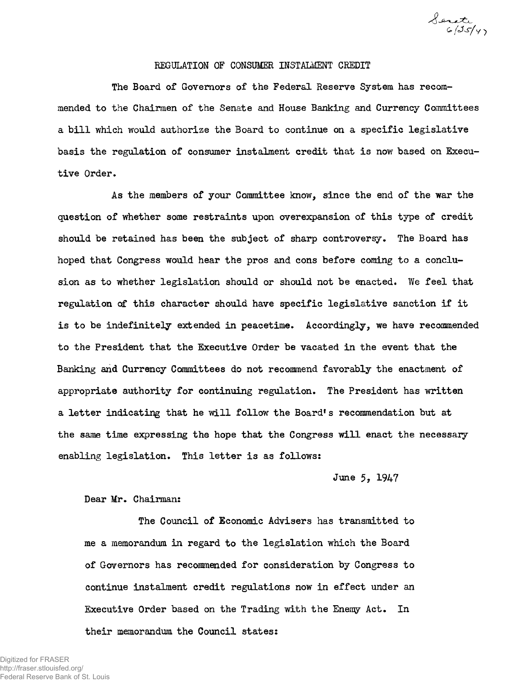Senate<br>6/25/47

## REGULATION OF CONSUMER INSTALMENT CREDIT

The Board of Governors of the Federal Reserve System has recommended to the Chairmen of the Senate and House Banking and Currency Committees a bill which would authorize the Board to continue on a specific legislative basis the regulation of consumer instalment credit that is now based on Executive Order.

As the members of your Committee know, since the end of the war the question of whether some restraints upon overexpansion of this type of credit should be retained has been the subject of sharp controversy. The Board has hoped that Congress would hear the pros and cons before coming to a conclusion as to whether legislation should or should not be enacted. We feel that regulation of this character should have specific legislative sanction if it is to be indefinitely extended in peacetime. Accordingly, we have recommended to the President that the Executive Order be vacated in the event that the Banking and Currency Committees do not recommend favorably the enactment of appropriate authority for continuing regulation. The President has written a letter indicating that he will follow the Board's recommendation but at the same time expressing the hope that the Congress will enact the necessary enabling legislation. This letter is as follows:

June 5, 1947

## Dear Mr. Chairman:

The Council of Economic Advisers has transmitted to me a memorandum in regard to the legislation which the Board of Governors has recommended for consideration by Congress to continue instalment credit regulations now in effect under an Executive Order based on the Trading with the Enemy Act. In their memorandum the Council states: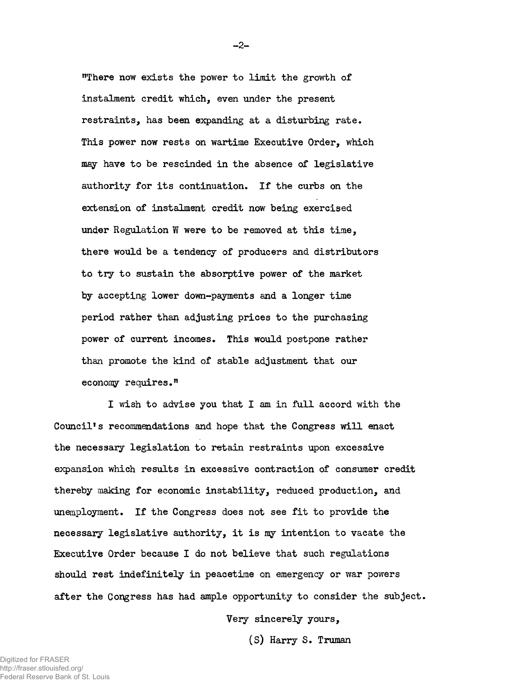"There now exists the power to limit the growth of instalment credit which, even under the present restraints, has been expanding at a disturbing rate. This power now rests on wartime Executive Order, which may have to be rescinded in the absence of legislative authority for its continuation. If the curbs on the extension of instalment credit now being exercised under Regulation W were to be removed at this time, there would be a tendency of producers and distributors to try to sustain the absorptive power of the market by accepting lower down-payments and a longer time period rather than adjusting prices to the purchasing power of current incomes. This would postpone rather than promote the kind of stable adjustment that our economy requires."

I wish to advise you that I am in full accord with the Council's recommendations and hope that the Congress will enact the necessary legislation to retain restraints upon excessive expansion which results in excessive contraction of consumer credit thereby making for economic instability, reduced production, and unemployment. If the Congress does not see fit to provide the necessary legislative authority, it is my intention to vacate the Executive Order because I do not believe that such regulations should rest indefinitely in peacetime on emergency or war powers after the Congress has had ample opportunity to consider the subject.

Very sincerely yours,

(S) Harry S. Truman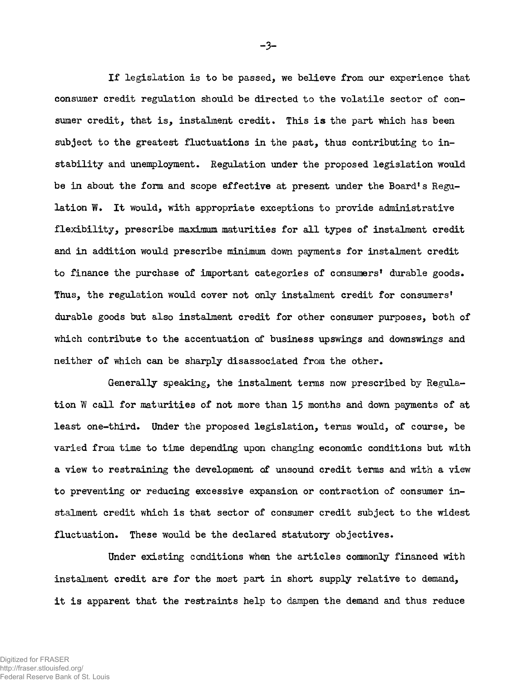If legislation is to be passed, we believe from our experience that consumer credit regulation should be directed to the volatile sector of consumer credit, that is, instalment credit. This is the part which has been subject to the greatest fluctuations in the past, thus contributing to instability and unemployment. Regulation under the proposed legislation would be in about the form and scope effective at present under the Board's Regulation W. It would, with appropriate exceptions to provide administrative flexibility, prescribe maximum maturities for all types of instalment credit and in addition would prescribe minimum down payments for instalment credit to finance the purchase of important categories of consumers' durable goods. Thus, the regulation would cover not only instalment credit for consumers' durable goods but also instalment credit for other consumer purposes, both of which contribute to the accentuation of business upswings and downswings and neither of which can be sharply disassociated from the other.

Generally speaking, the instalment terms now prescribed by Regulation W call for maturities of not more than 15 months and down payments of at least one-third. Under the proposed legislation, terms would, of course, be varied from time to time depending upon changing economic conditions but with a view to restraining the development of unsound credit terms and with a view to preventing or reducing excessive expansion or contraction of consumer instalment credit which is that sector of consumer credit subject to the widest fluctuation. These would be the declared statutory objectives.

Under existing conditions when the articles commonly financed with instalment credit are for the most part in short supply relative to demand, it is apparent that the restraints help to dampen the demand and thus reduce

-3-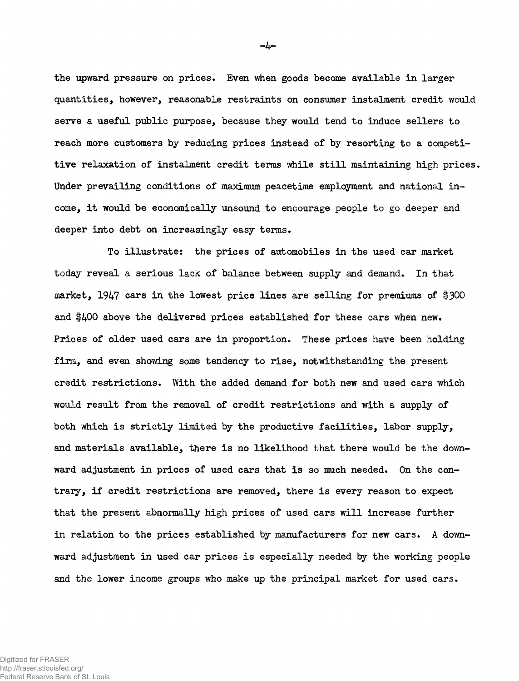the upward pressure on prices. Even when goods become available in larger quantities, however, reasonable restraints on consumer instalment credit would serve a useful public purpose, because they would tend to induce sellers to reach more customers by reducing prices instead of by resorting to a competitive relaxation of instalment credit terms while still maintaining high prices. Under prevailing conditions of maximum peacetime employment and national income, it would be economically unsound to encourage people to go deeper and deeper into debt on increasingly easy terms.

To illustrate: the prices of automobiles in the used car market today reveal a serious lack of balance between supply and demand. In that market, 1947 cars in the lowest price lines are selling for premiums of  $$300$ and  $$400$  above the delivered prices established for these cars when new. Prices of older used cars are in proportion. These prices have been holding firm, and even showing some tendency to rise, notwithstanding the present credit restrictions. With the added demand for both new and used cars which would result from the removal of credit restrictions and with a supply of both which is strictly limited by the productive facilities, labor supply, and materials available, there is no likelihood that there would be the downward adjustment in prices of used cars that is so much needed. On the contrary, if credit restrictions are removed, there is every reason to expect that the present abnormally high prices of used cars will increase further in relation to the prices established by manufacturers for new cars. A downward adjustment in used car prices is especially needed by the working people and the lower income groups who make up the principal market for used cars .

--اب-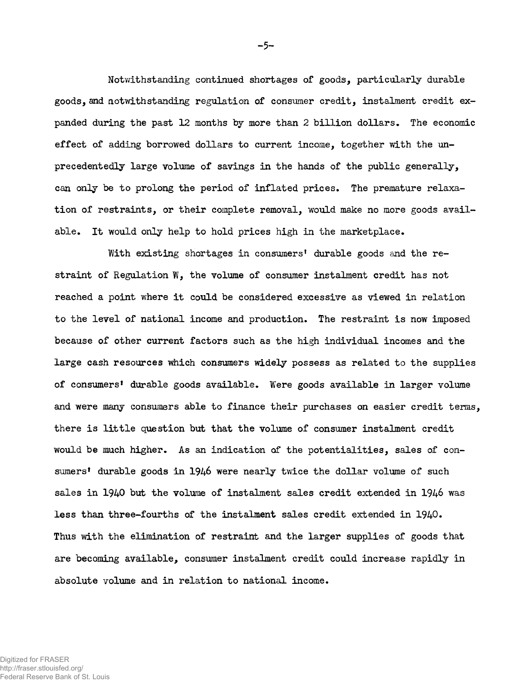Notwithstanding continued shortages of goods, particularly durable goods, and notwithstanding regulation of consumer credit, instalment credit expanded during the past 12 months by more than 2 billion dollars. The economic effect of adding borrowed dollars to current income, together with the unprecedentedly large volume of savings in the hands of the public generally, can only be to prolong the period of inflated prices. The premature relaxation of restraints, or their complete removal, would make no more goods available. It would only help to hold prices high in the marketplace.

With existing shortages in consumers' durable goods and the restraint of Regulation  $W$ , the volume of consumer instalment credit has not reached a point where it could be considered excessive as viewed in relation to the level of national income and production. The restraint is now imposed because of other current factors such as the high individual incomes and the large cash resources which consumers widely possess as related to the supplies of consumers' durable goods available. Were goods available in larger volume and were many consumers able to finance their purchases on easier credit terms, there is little question but that the volume of consumer instalment credit would be much higher. As an indication of the potentialities, sales of consumers' durable goods in 1946 were nearly twice the dollar volume of such sales in 1940 but the volume of instalment sales credit extended in 1946 was less than three-fourths of the instalment sales credit extended in  $1940$ . Thus with the elimination of restraint and the larger supplies of goods that are becoming available, consumer instalment credit could increase rapidly in absolute volume and in relation to national income.

- **4** -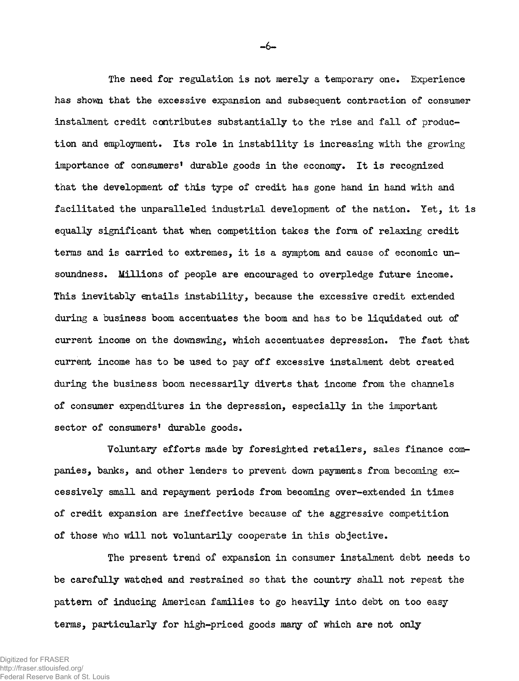The need for regulation is not merely a temporary one. Experience has shown that the excessive expansion and subsequent contraction of consumer instalment credit contributes substantially to the rise and fall of production and employment. Its role in instability is increasing with the growing importance of consumers' durable goods in the economy. It is recognized that the development of this type of credit has gone hand in hand with and facilitated the unparalleled industrial development of the nation. Yet, it is equally significant that when competition takes the form of relaxing credit terms and is carried to extremes, it is a symptom and cause of economic unsoundness. Millions of people are encouraged to overpledge future income. This inevitably entails instability, because the excessive credit extended during a business boom accentuates the boom and has to be liquidated out of current income on the downswing, which accentuates depression. The fact that current income has to be used to pay off excessive instalment debt created during the business boom necessarily diverts that income from the channels of consumer expenditures in the depression, especially in the important sector of consumers' durable goods.

Voluntary efforts made by foresighted retailers, sales finance companies, banks, and other lenders to prevent down payments from becoming excessively small and repayment periods from becoming over-extended in times of credit expansion are ineffective because of the aggressive competition of those who will not voluntarily cooperate in this objective.

The present trend of expansion in consumer instalment debt needs to be carefully watched and restrained so that the country shall not repeat the pattern of inducing American families to go heavily into debt on too easy terms, particularly for high-priced goods many of which are not only

- **4** -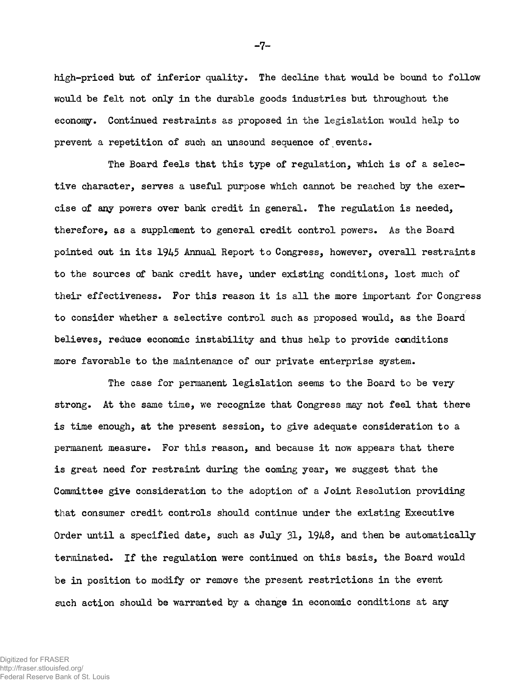high-priced but of inferior quality. The decline that would be bound to follow would be felt not only in the durable goods industries but throughout the economy. Continued restraints as proposed in the legislation would help to prevent a repetition of such an unsound sequence of events.

The Board feels that this type of regulation, which is of a selective character, serves a useful purpose which cannot be reached by the exercise of any powers over bank credit in general. The regulation is needed, therefore, as a supplement to general credit control powers. As the Board pointed out in its 1945 Annual Report to Congress, however, overall restraints to the sources of bank credit have, under existing conditions, lost much of their effectiveness. For this reason it is all the more important for Congress to consider whether a selective control such as proposed would, as the Board believes, reduce economic instability and thus help to provide conditions more favorable to the maintenance of our private enterprise system.

The case for permanent legislation seems to the Board to be very strong. At the same time, we recognize that Congress may not feel that there is time enough, at the present session, to give adequate consideration to a permanent measure. For this reason, and because it now appears that there is great need for restraint during the coming year, we suggest that the Committee give consideration to the adoption of a Joint Resolution providing that consumer credit controls should continue under the existing Executive Order until a specified date, such as July 31, 1948, and then be automatically terminated. If the regulation were continued on this basis, the Board would be in position to modify or remove the present restrictions in the event such action should be warranted by a change in economic conditions at any